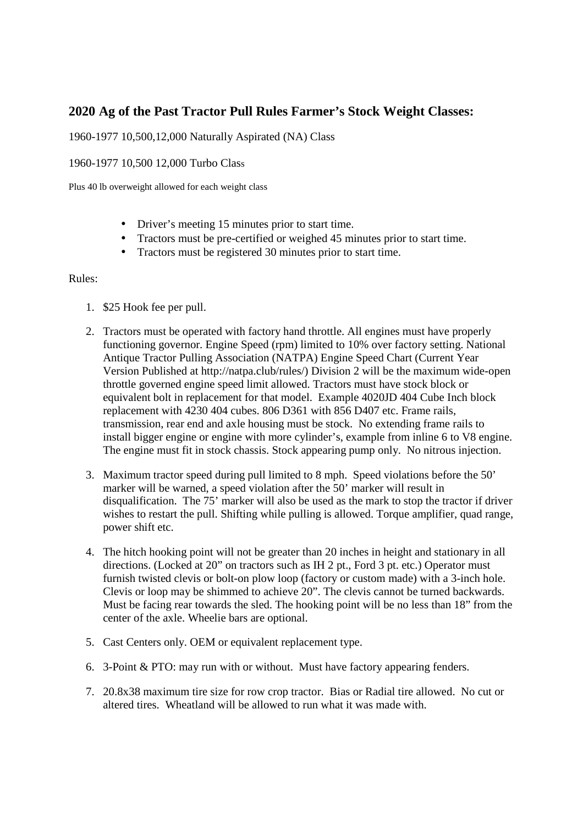## **2020 Ag of the Past Tractor Pull Rules Farmer's Stock Weight Classes:**

## 1960-1977 10,500,12,000 Naturally Aspirated (NA) Class

## 1960-1977 10,500 12,000 Turbo Class

Plus 40 lb overweight allowed for each weight class

- Driver's meeting 15 minutes prior to start time.
- Tractors must be pre-certified or weighed 45 minutes prior to start time.
- Tractors must be registered 30 minutes prior to start time.

## Rules:

- 1. \$25 Hook fee per pull.
- 2. Tractors must be operated with factory hand throttle. All engines must have properly functioning governor. Engine Speed (rpm) limited to 10% over factory setting. National Antique Tractor Pulling Association (NATPA) Engine Speed Chart (Current Year Version Published at http://natpa.club/rules/) Division 2 will be the maximum wide-open throttle governed engine speed limit allowed. Tractors must have stock block or equivalent bolt in replacement for that model. Example 4020JD 404 Cube Inch block replacement with 4230 404 cubes. 806 D361 with 856 D407 etc. Frame rails, transmission, rear end and axle housing must be stock. No extending frame rails to install bigger engine or engine with more cylinder's, example from inline 6 to V8 engine. The engine must fit in stock chassis. Stock appearing pump only. No nitrous injection.
- 3. Maximum tractor speed during pull limited to 8 mph. Speed violations before the 50' marker will be warned, a speed violation after the 50' marker will result in disqualification. The 75' marker will also be used as the mark to stop the tractor if driver wishes to restart the pull. Shifting while pulling is allowed. Torque amplifier, quad range, power shift etc.
- 4. The hitch hooking point will not be greater than 20 inches in height and stationary in all directions. (Locked at 20" on tractors such as IH 2 pt., Ford 3 pt. etc.) Operator must furnish twisted clevis or bolt-on plow loop (factory or custom made) with a 3-inch hole. Clevis or loop may be shimmed to achieve 20". The clevis cannot be turned backwards. Must be facing rear towards the sled. The hooking point will be no less than 18" from the center of the axle. Wheelie bars are optional.
- 5. Cast Centers only. OEM or equivalent replacement type.
- 6. 3-Point & PTO: may run with or without. Must have factory appearing fenders.
- 7. 20.8x38 maximum tire size for row crop tractor. Bias or Radial tire allowed. No cut or altered tires. Wheatland will be allowed to run what it was made with.